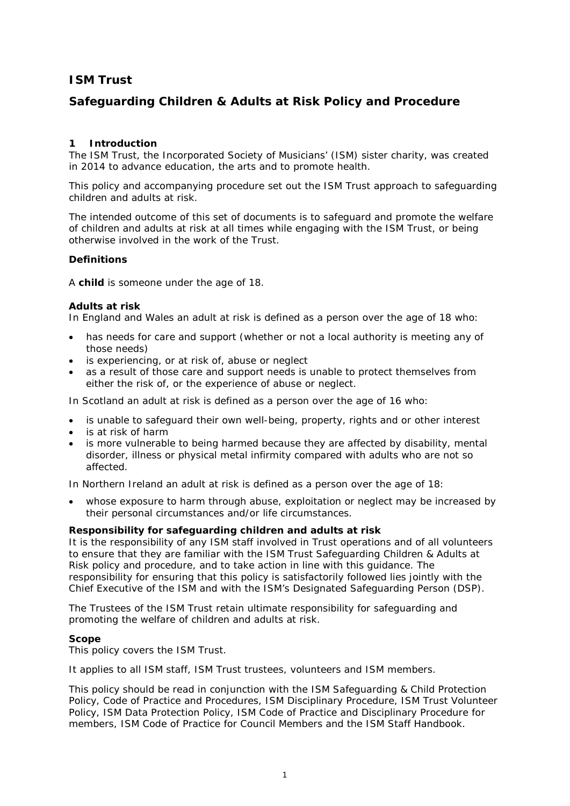# **ISM Trust**

# **Safeguarding Children & Adults at Risk Policy and Procedure**

## **1 Introduction**

The ISM Trust, the Incorporated Society of Musicians' (ISM) sister charity, was created in 2014 to advance education, the arts and to promote health.

This policy and accompanying procedure set out the ISM Trust approach to safeguarding children and adults at risk.

The intended outcome of this set of documents is to safeguard and promote the welfare of children and adults at risk at all times while engaging with the ISM Trust, or being otherwise involved in the work of the Trust.

## **Definitions**

A **child** is someone under the age of 18.

#### **Adults at risk**

In England and Wales an adult at risk is defined as a person over the age of 18 who:

- has needs for care and support (whether or not a local authority is meeting any of those needs)
- is experiencing, or at risk of, abuse or neglect
- as a result of those care and support needs is unable to protect themselves from either the risk of, or the experience of abuse or neglect.

In Scotland an adult at risk is defined as a person over the age of 16 who:

- is unable to safeguard their own well-being, property, rights and or other interest
- is at risk of harm
- is more vulnerable to being harmed because they are affected by disability, mental disorder, illness or physical metal infirmity compared with adults who are not so affected.

In Northern Ireland an adult at risk is defined as a person over the age of 18:

• whose exposure to harm through abuse, exploitation or neglect may be increased by their personal circumstances and/or life circumstances.

#### **Responsibility for safeguarding children and adults at risk**

It is the responsibility of any ISM staff involved in Trust operations and of all volunteers to ensure that they are familiar with the ISM Trust Safeguarding Children & Adults at Risk policy and procedure, and to take action in line with this guidance. The responsibility for ensuring that this policy is satisfactorily followed lies jointly with the Chief Executive of the ISM and with the ISM's Designated Safeguarding Person (DSP).

The Trustees of the ISM Trust retain ultimate responsibility for safeguarding and promoting the welfare of children and adults at risk.

#### **Scope**

This policy covers the ISM Trust.

It applies to all ISM staff, ISM Trust trustees, volunteers and ISM members.

This policy should be read in conjunction with the ISM Safeguarding & Child Protection Policy, Code of Practice and Procedures, ISM Disciplinary Procedure, ISM Trust Volunteer Policy, ISM Data Protection Policy, ISM Code of Practice and Disciplinary Procedure for members, ISM Code of Practice for Council Members and the ISM Staff Handbook.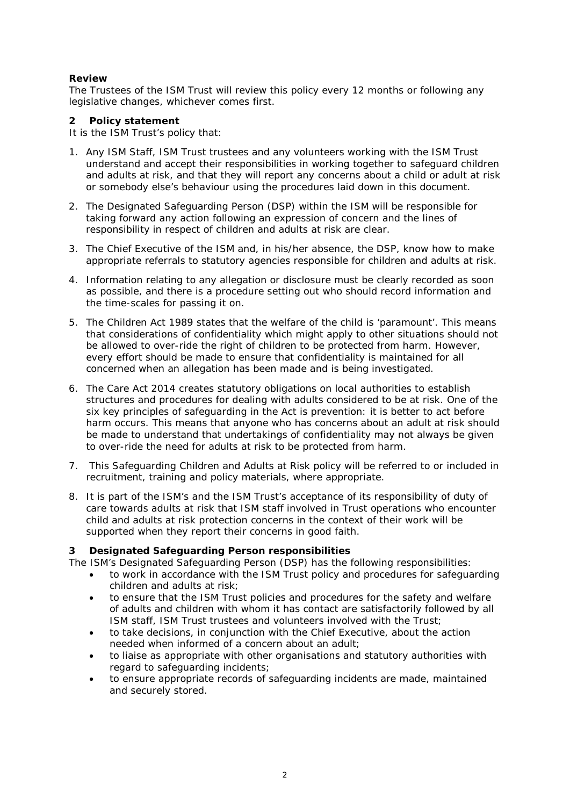## **Review**

The Trustees of the ISM Trust will review this policy every 12 months or following any legislative changes, whichever comes first.

### **2 Policy statement**

It is the ISM Trust's policy that:

- 1. Any ISM Staff, ISM Trust trustees and any volunteers working with the ISM Trust understand and accept their responsibilities in working together to safeguard children and adults at risk, and that they will report any concerns about a child or adult at risk or somebody else's behaviour using the procedures laid down in this document.
- 2. The Designated Safeguarding Person (DSP) within the ISM will be responsible for taking forward any action following an expression of concern and the lines of responsibility in respect of children and adults at risk are clear.
- 3. The Chief Executive of the ISM and, in his/her absence, the DSP, know how to make appropriate referrals to statutory agencies responsible for children and adults at risk.
- 4. Information relating to any allegation or disclosure must be clearly recorded as soon as possible, and there is a procedure setting out who should record information and the time-scales for passing it on.
- 5. The Children Act 1989 states that the welfare of the child is 'paramount'. This means that considerations of confidentiality which might apply to other situations should not be allowed to over-ride the right of children to be protected from harm. However, every effort should be made to ensure that confidentiality is maintained for all concerned when an allegation has been made and is being investigated.
- 6. The Care Act 2014 creates statutory obligations on local authorities to establish structures and procedures for dealing with adults considered to be at risk. One of the six key principles of safeguarding in the Act is prevention: it is better to act before harm occurs. This means that anyone who has concerns about an adult at risk should be made to understand that undertakings of confidentiality may not always be given to over-ride the need for adults at risk to be protected from harm.
- 7. This Safeguarding Children and Adults at Risk policy will be referred to or included in recruitment, training and policy materials, where appropriate.
- 8. It is part of the ISM's and the ISM Trust's acceptance of its responsibility of duty of care towards adults at risk that ISM staff involved in Trust operations who encounter child and adults at risk protection concerns in the context of their work will be supported when they report their concerns in good faith.

## **3 Designated Safeguarding Person responsibilities**

The ISM's Designated Safeguarding Person (DSP) has the following responsibilities:

- to work in accordance with the ISM Trust policy and procedures for safeguarding children and adults at risk;
- to ensure that the ISM Trust policies and procedures for the safety and welfare of adults and children with whom it has contact are satisfactorily followed by all ISM staff, ISM Trust trustees and volunteers involved with the Trust;
- to take decisions, in conjunction with the Chief Executive, about the action needed when informed of a concern about an adult;
- to liaise as appropriate with other organisations and statutory authorities with regard to safeguarding incidents;
- to ensure appropriate records of safeguarding incidents are made, maintained and securely stored.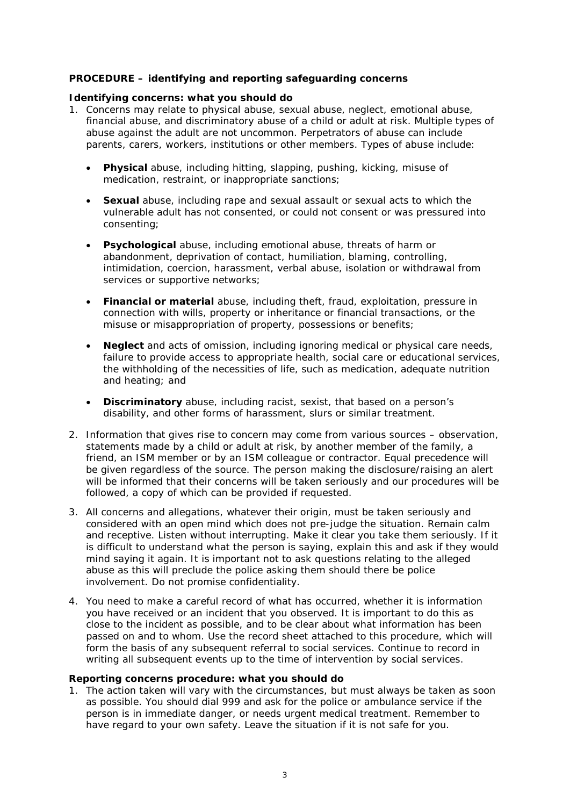## **PROCEDURE – identifying and reporting safeguarding concerns**

#### **Identifying concerns: what you should do**

- 1. Concerns may relate to physical abuse, sexual abuse, neglect, emotional abuse, financial abuse, and discriminatory abuse of a child or adult at risk. Multiple types of abuse against the adult are not uncommon. Perpetrators of abuse can include parents, carers, workers, institutions or other members. Types of abuse include:
	- **Physical** abuse, including hitting, slapping, pushing, kicking, misuse of medication, restraint, or inappropriate sanctions;
	- **Sexual** abuse, including rape and sexual assault or sexual acts to which the vulnerable adult has not consented, or could not consent or was pressured into consenting;
	- **Psychological** abuse, including emotional abuse, threats of harm or abandonment, deprivation of contact, humiliation, blaming, controlling, intimidation, coercion, harassment, verbal abuse, isolation or withdrawal from services or supportive networks;
	- **Financial or material** abuse, including theft, fraud, exploitation, pressure in connection with wills, property or inheritance or financial transactions, or the misuse or misappropriation of property, possessions or benefits;
	- **Neglect** and acts of omission, including ignoring medical or physical care needs, failure to provide access to appropriate health, social care or educational services, the withholding of the necessities of life, such as medication, adequate nutrition and heating; and
	- **Discriminatory** abuse, including racist, sexist, that based on a person's disability, and other forms of harassment, slurs or similar treatment.
- 2. Information that gives rise to concern may come from various sources observation, statements made by a child or adult at risk, by another member of the family, a friend, an ISM member or by an ISM colleague or contractor. Equal precedence will be given regardless of the source. The person making the disclosure/raising an alert will be informed that their concerns will be taken seriously and our procedures will be followed, a copy of which can be provided if requested.
- 3. All concerns and allegations, whatever their origin, must be taken seriously and considered with an open mind which does not pre-judge the situation. Remain calm and receptive. Listen without interrupting. Make it clear you take them seriously. If it is difficult to understand what the person is saying, explain this and ask if they would mind saying it again. It is important not to ask questions relating to the alleged abuse as this will preclude the police asking them should there be police involvement. Do not promise confidentiality.
- 4. You need to make a careful record of what has occurred, whether it is information you have received or an incident that you observed. It is important to do this as close to the incident as possible, and to be clear about what information has been passed on and to whom. Use the record sheet attached to this procedure, which will form the basis of any subsequent referral to social services. Continue to record in writing all subsequent events up to the time of intervention by social services.

#### **Reporting concerns procedure: what you should do**

1. The action taken will vary with the circumstances, but must always be taken as soon as possible. You should dial 999 and ask for the police or ambulance service if the person is in immediate danger, or needs urgent medical treatment. Remember to have regard to your own safety. Leave the situation if it is not safe for you.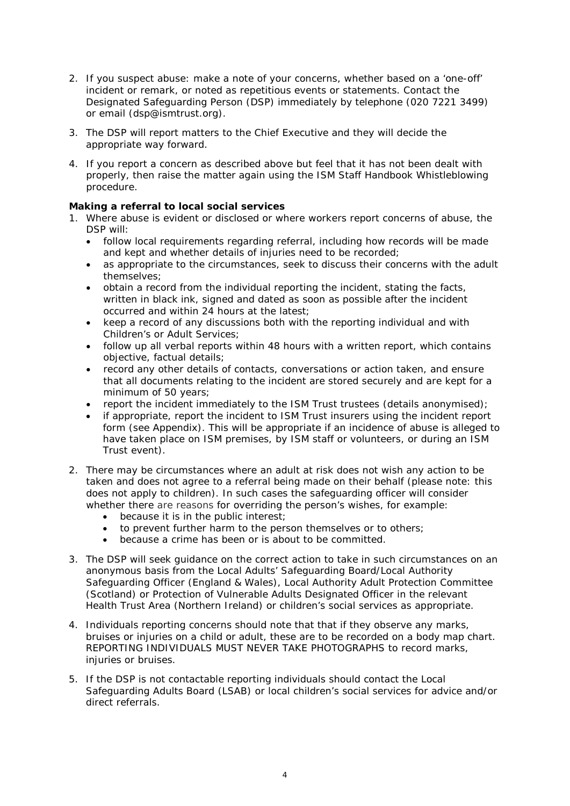- 2. If you suspect abuse: make a note of your concerns, whether based on a 'one-off' incident or remark, or noted as repetitious events or statements. Contact the Designated Safeguarding Person (DSP) immediately by telephone (020 7221 3499) or email (dsp@ismtrust.org).
- 3. The DSP will report matters to the Chief Executive and they will decide the appropriate way forward.
- 4. If you report a concern as described above but feel that it has not been dealt with properly, then raise the matter again using the ISM Staff Handbook Whistleblowing procedure.

# **Making a referral to local social services**

- 1. Where abuse is evident or disclosed or where workers report concerns of abuse, the DSP will:
	- follow local requirements regarding referral, including how records will be made and kept and whether details of injuries need to be recorded;
	- as appropriate to the circumstances, seek to discuss their concerns with the adult themselves;
	- obtain a record from the individual reporting the incident, stating the facts, written in black ink, signed and dated as soon as possible after the incident occurred and within 24 hours at the latest;
	- keep a record of any discussions both with the reporting individual and with Children's or Adult Services;
	- follow up all verbal reports within 48 hours with a written report, which contains objective, factual details;
	- record any other details of contacts, conversations or action taken, and ensure that all documents relating to the incident are stored securely and are kept for a minimum of 50 years;
	- report the incident immediately to the ISM Trust trustees (details anonymised);
	- if appropriate, report the incident to ISM Trust insurers using the incident report form (see Appendix). This will be appropriate if an incidence of abuse is alleged to have taken place on ISM premises, by ISM staff or volunteers, or during an ISM Trust event).
- 2. There may be circumstances where an adult at risk does not wish any action to be taken and does not agree to a referral being made on their behalf (please note: this does not apply to children). In such cases the safeguarding officer will consider whether there are reasons for overriding the person's wishes, for example:
	- because it is in the public interest;
	- to prevent further harm to the person themselves or to others;
	- because a crime has been or is about to be committed.
- 3. The DSP will seek guidance on the correct action to take in such circumstances on an anonymous basis from the Local Adults' Safeguarding Board/Local Authority Safeguarding Officer (England & Wales), Local Authority Adult Protection Committee (Scotland) or Protection of Vulnerable Adults Designated Officer in the relevant Health Trust Area (Northern Ireland) or children's social services as appropriate.
- 4. Individuals reporting concerns should note that that if they observe any marks, bruises or injuries on a child or adult, these are to be recorded on a body map chart. REPORTING INDIVIDUALS MUST NEVER TAKE PHOTOGRAPHS to record marks, injuries or bruises.
- 5. If the DSP is not contactable reporting individuals should contact the Local Safeguarding Adults Board (LSAB) or local children's social services for advice and/or direct referrals.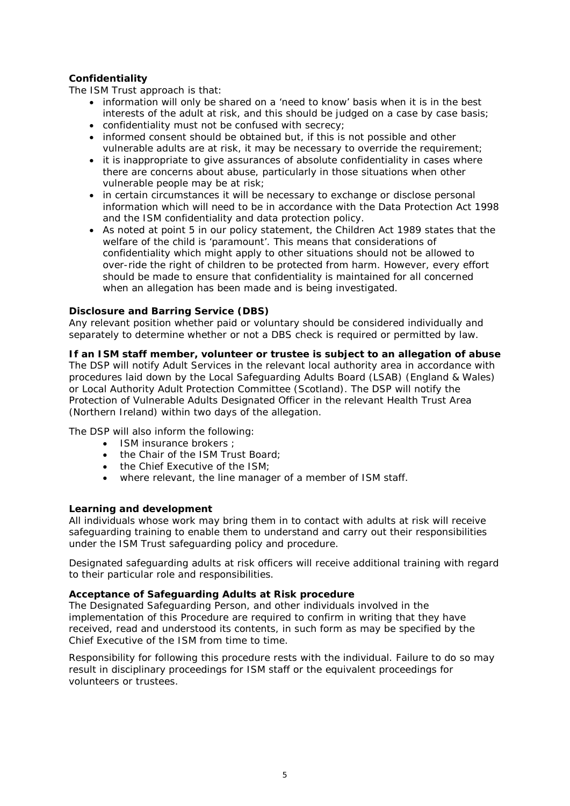# **Confidentiality**

The ISM Trust approach is that:

- information will only be shared on a 'need to know' basis when it is in the best interests of the adult at risk, and this should be judged on a case by case basis;
- confidentiality must not be confused with secrecy;
- informed consent should be obtained but, if this is not possible and other vulnerable adults are at risk, it may be necessary to override the requirement;
- it is inappropriate to give assurances of absolute confidentiality in cases where there are concerns about abuse, particularly in those situations when other vulnerable people may be at risk;
- in certain circumstances it will be necessary to exchange or disclose personal information which will need to be in accordance with the Data Protection Act 1998 and the ISM confidentiality and data protection policy.
- As noted at point 5 in our policy statement, the Children Act 1989 states that the welfare of the child is 'paramount'. This means that considerations of confidentiality which might apply to other situations should not be allowed to over-ride the right of children to be protected from harm. However, every effort should be made to ensure that confidentiality is maintained for all concerned when an allegation has been made and is being investigated.

## **Disclosure and Barring Service (DBS)**

Any relevant position whether paid or voluntary should be considered individually and separately to determine whether or not a DBS check is required or permitted by law.

# **If an ISM staff member, volunteer or trustee is subject to an allegation of abuse**

The DSP will notify Adult Services in the relevant local authority area in accordance with procedures laid down by the Local Safeguarding Adults Board (LSAB) (England & Wales) or Local Authority Adult Protection Committee (Scotland). The DSP will notify the Protection of Vulnerable Adults Designated Officer in the relevant Health Trust Area (Northern Ireland) within two days of the allegation.

The DSP will also inform the following:

- ISM insurance brokers :
- the Chair of the ISM Trust Board:
- the Chief Executive of the ISM;
- where relevant, the line manager of a member of ISM staff.

#### **Learning and development**

All individuals whose work may bring them in to contact with adults at risk will receive safeguarding training to enable them to understand and carry out their responsibilities under the ISM Trust safeguarding policy and procedure.

Designated safeguarding adults at risk officers will receive additional training with regard to their particular role and responsibilities.

#### **Acceptance of Safeguarding Adults at Risk procedure**

The Designated Safeguarding Person, and other individuals involved in the implementation of this Procedure are required to confirm in writing that they have received, read and understood its contents, in such form as may be specified by the Chief Executive of the ISM from time to time.

Responsibility for following this procedure rests with the individual. Failure to do so may result in disciplinary proceedings for ISM staff or the equivalent proceedings for volunteers or trustees.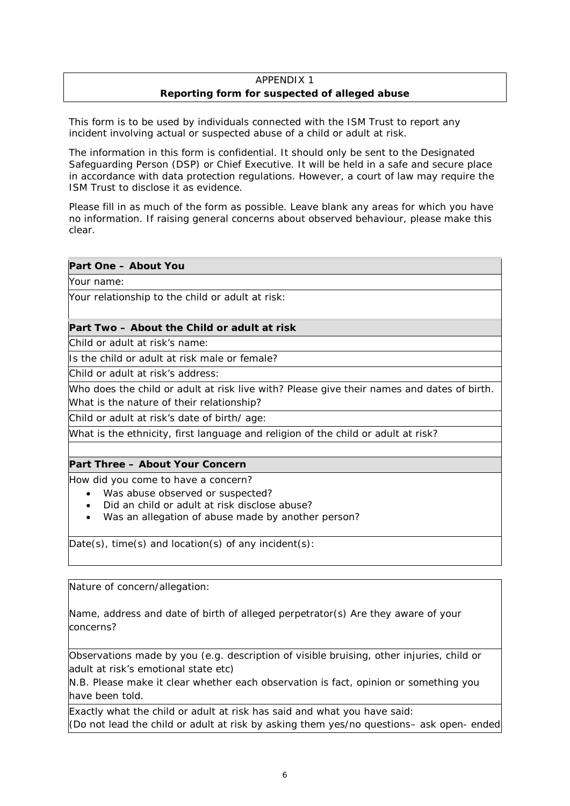# APPENDIX 1 **Reporting form for suspected of alleged abuse**

This form is to be used by individuals connected with the ISM Trust to report any incident involving actual or suspected abuse of a child or adult at risk.

The information in this form is confidential. It should only be sent to the Designated Safeguarding Person (DSP) or Chief Executive. It will be held in a safe and secure place in accordance with data protection regulations. However, a court of law may require the ISM Trust to disclose it as evidence.

Please fill in as much of the form as possible. Leave blank any areas for which you have no information. If raising general concerns about observed behaviour, please make this clear.

# **Part One – About You**

Your name:

Your relationship to the child or adult at risk:

## **Part Two – About the Child or adult at risk**

Child or adult at risk's name:

Is the child or adult at risk male or female?

Child or adult at risk's address:

Who does the child or adult at risk live with? Please give their names and dates of birth. What is the nature of their relationship?

Child or adult at risk's date of birth/ age:

What is the ethnicity, first language and religion of the child or adult at risk?

# **Part Three – About Your Concern**

How did you come to have a concern?

- Was abuse observed or suspected?
- Did an child or adult at risk disclose abuse?
- Was an allegation of abuse made by another person?

Date(s), time(s) and location(s) of any incident(s):

Nature of concern/allegation:

Name, address and date of birth of alleged perpetrator(s) Are they aware of your concerns?

Observations made by you (e.g. description of visible bruising, other injuries, child or adult at risk's emotional state etc)

N.B. Please make it clear whether each observation is fact, opinion or something you have been told.

Exactly what the child or adult at risk has said and what you have said: (Do not lead the child or adult at risk by asking them yes/no questions– ask open- ended